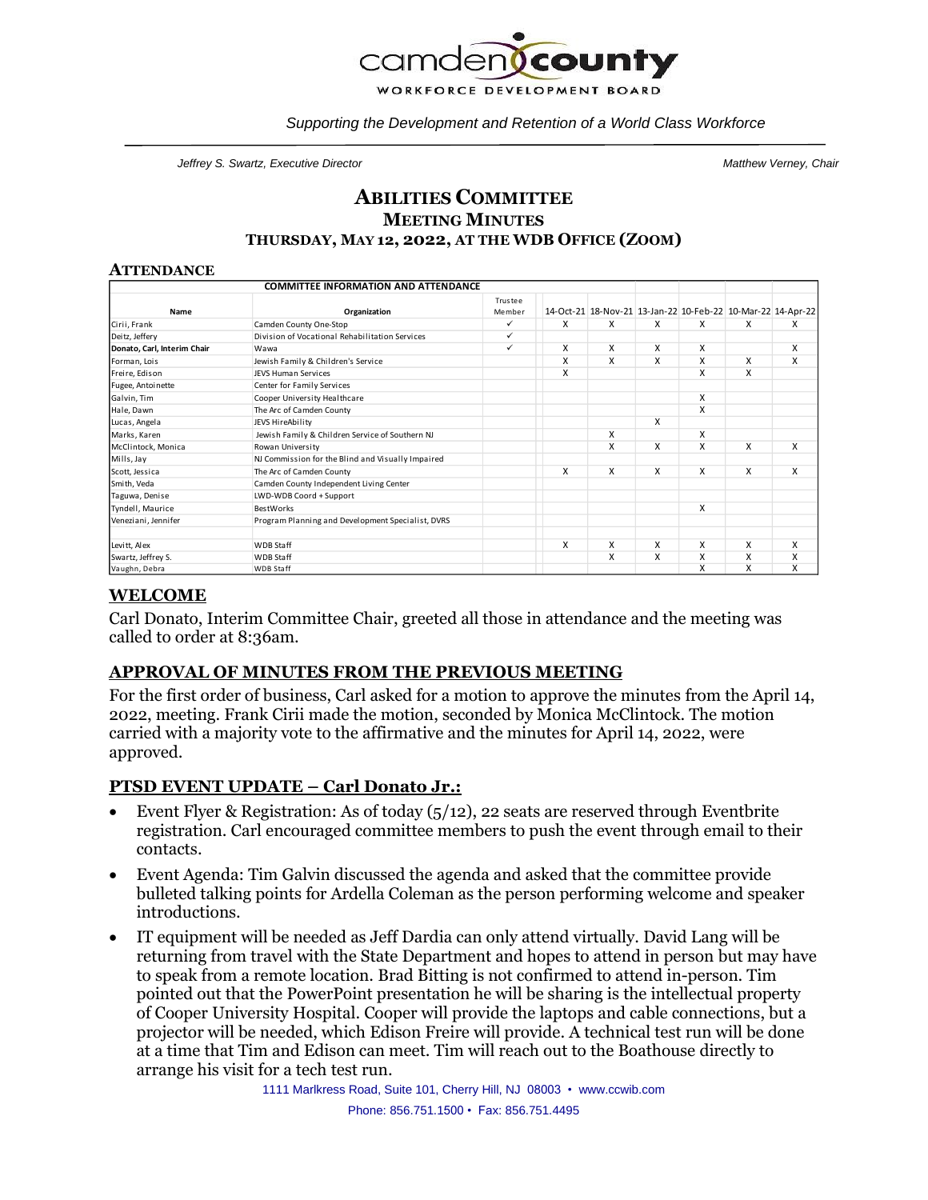

*Supporting the Development and Retention of a World Class Workforce*

*Jeffrey S. Swartz, Executive Director Matthew Verney, Chair*

### **ABILITIES COMMITTEE MEETING MINUTES THURSDAY, MAY 12, 2022, AT THE WDB OFFICE (ZOOM)**

#### **ATTENDANCE**

| <b>COMMITTEE INFORMATION AND ATTENDANCE</b> |                                                   |                   |   |                                                             |   |   |   |   |
|---------------------------------------------|---------------------------------------------------|-------------------|---|-------------------------------------------------------------|---|---|---|---|
| Name                                        | Organization                                      | Trustee<br>Member |   | 14-Oct-21 18-Nov-21 13-Jan-22 10-Feb-22 10-Mar-22 14-Apr-22 |   |   |   |   |
| Cirii, Frank                                | Camden County One-Stop                            | ✓                 | X | x                                                           | x | X | X | X |
| Deitz, Jeffery                              | Division of Vocational Rehabilitation Services    | ✓                 |   |                                                             |   |   |   |   |
| Donato, Carl, Interim Chair                 | Wawa                                              | ✓                 | X | X                                                           | X | X |   | X |
| Forman, Lois                                | Jewish Family & Children's Service                |                   | X | X                                                           | X | X | x | X |
| Freire, Edison                              | <b>JEVS Human Services</b>                        |                   | X |                                                             |   | X | X |   |
| Fugee, Antoinette                           | Center for Family Services                        |                   |   |                                                             |   |   |   |   |
| Galvin, Tim                                 | Cooper University Healthcare                      |                   |   |                                                             |   | X |   |   |
| Hale, Dawn                                  | The Arc of Camden County                          |                   |   |                                                             |   | X |   |   |
| Lucas, Angela                               | JEVS HireAbility                                  |                   |   |                                                             | X |   |   |   |
| Marks, Karen                                | Jewish Family & Children Service of Southern NJ   |                   |   | X                                                           |   | X |   |   |
| McClintock, Monica                          | Rowan University                                  |                   |   | X                                                           | X | X | X | X |
| Mills, Jay                                  | NJ Commission for the Blind and Visually Impaired |                   |   |                                                             |   |   |   |   |
| Scott, Jessica                              | The Arc of Camden County                          |                   | x | X                                                           | X | X | X | X |
| Smith, Veda                                 | Camden County Independent Living Center           |                   |   |                                                             |   |   |   |   |
| Taguwa, Denise                              | LWD-WDB Coord + Support                           |                   |   |                                                             |   |   |   |   |
| Tyndell, Maurice                            | <b>BestWorks</b>                                  |                   |   |                                                             |   | X |   |   |
| Veneziani, Jennifer                         | Program Planning and Development Specialist, DVRS |                   |   |                                                             |   |   |   |   |
| Levitt, Alex                                | <b>WDB Staff</b>                                  |                   | x | X                                                           | X | X | x | X |
| Swartz, Jeffrey S.                          | <b>WDB Staff</b>                                  |                   |   | X                                                           | X | X | X | X |
| Vaughn, Debra                               | <b>WDB Staff</b>                                  |                   |   |                                                             |   | x | X | x |

## **WELCOME**

Carl Donato, Interim Committee Chair, greeted all those in attendance and the meeting was called to order at 8:36am.

### **APPROVAL OF MINUTES FROM THE PREVIOUS MEETING**

For the first order of business, Carl asked for a motion to approve the minutes from the April 14, 2022, meeting. Frank Cirii made the motion, seconded by Monica McClintock. The motion carried with a majority vote to the affirmative and the minutes for April 14, 2022, were approved.

### **PTSD EVENT UPDATE – Carl Donato Jr.:**

- Event Flyer & Registration: As of today  $(5/12)$ , 22 seats are reserved through Eventbrite registration. Carl encouraged committee members to push the event through email to their contacts.
- Event Agenda: Tim Galvin discussed the agenda and asked that the committee provide bulleted talking points for Ardella Coleman as the person performing welcome and speaker introductions.
- IT equipment will be needed as Jeff Dardia can only attend virtually. David Lang will be returning from travel with the State Department and hopes to attend in person but may have to speak from a remote location. Brad Bitting is not confirmed to attend in-person. Tim pointed out that the PowerPoint presentation he will be sharing is the intellectual property of Cooper University Hospital. Cooper will provide the laptops and cable connections, but a projector will be needed, which Edison Freire will provide. A technical test run will be done at a time that Tim and Edison can meet. Tim will reach out to the Boathouse directly to arrange his visit for a tech test run.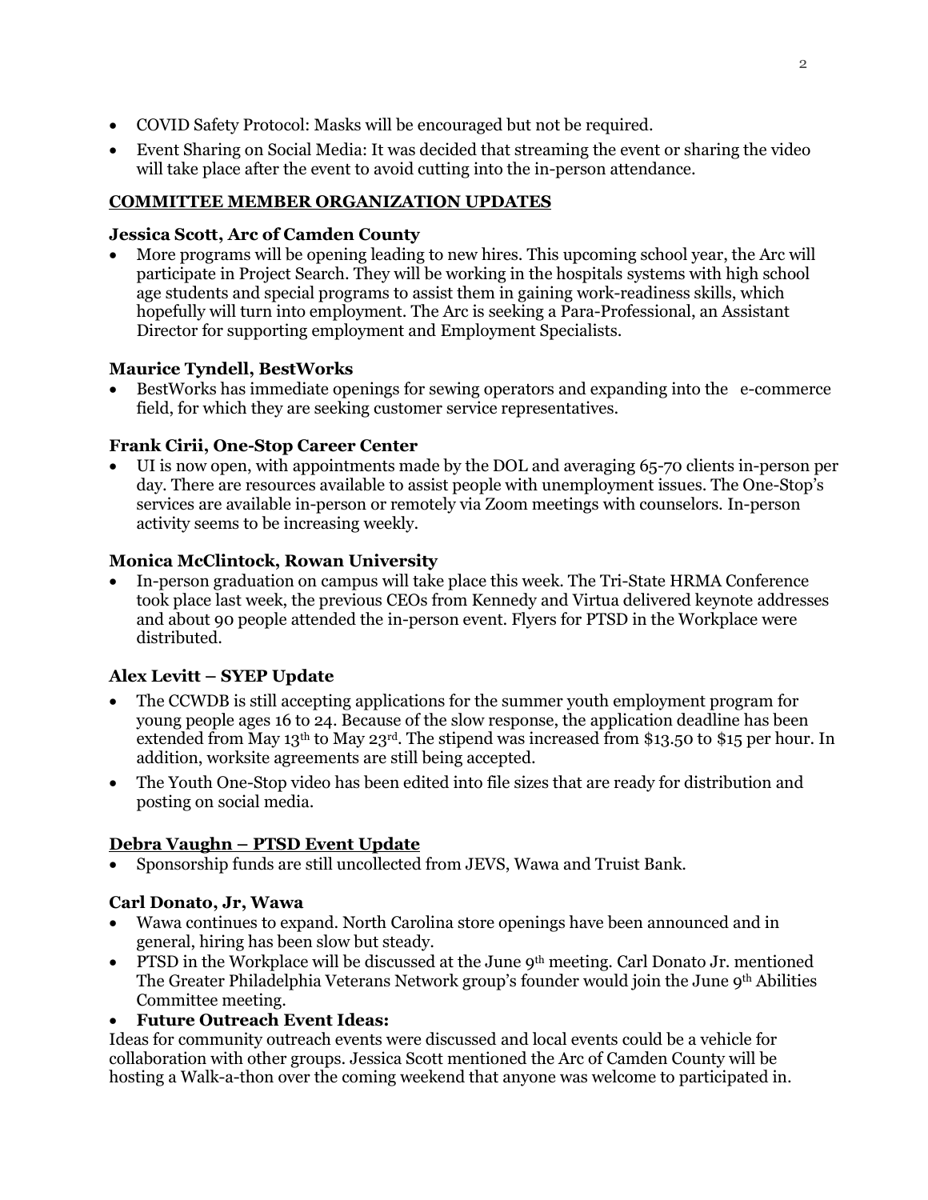- COVID Safety Protocol: Masks will be encouraged but not be required.
- Event Sharing on Social Media: It was decided that streaming the event or sharing the video will take place after the event to avoid cutting into the in-person attendance.

## **COMMITTEE MEMBER ORGANIZATION UPDATES**

## **Jessica Scott, Arc of Camden County**

• More programs will be opening leading to new hires. This upcoming school year, the Arc will participate in Project Search. They will be working in the hospitals systems with high school age students and special programs to assist them in gaining work-readiness skills, which hopefully will turn into employment. The Arc is seeking a Para-Professional, an Assistant Director for supporting employment and Employment Specialists.

## **Maurice Tyndell, BestWorks**

• BestWorks has immediate openings for sewing operators and expanding into the e-commerce field, for which they are seeking customer service representatives.

## **Frank Cirii, One-Stop Career Center**

• UI is now open, with appointments made by the DOL and averaging 65-70 clients in-person per day. There are resources available to assist people with unemployment issues. The One-Stop's services are available in-person or remotely via Zoom meetings with counselors. In-person activity seems to be increasing weekly.

## **Monica McClintock, Rowan University**

• In-person graduation on campus will take place this week. The Tri-State HRMA Conference took place last week, the previous CEOs from Kennedy and Virtua delivered keynote addresses and about 90 people attended the in-person event. Flyers for PTSD in the Workplace were distributed.

# **Alex Levitt – SYEP Update**

- The CCWDB is still accepting applications for the summer youth employment program for young people ages 16 to 24. Because of the slow response, the application deadline has been extended from May 13<sup>th</sup> to May 23<sup>rd</sup>. The stipend was increased from \$13.50 to \$15 per hour. In addition, worksite agreements are still being accepted.
- The Youth One-Stop video has been edited into file sizes that are ready for distribution and posting on social media.

# **Debra Vaughn – PTSD Event Update**

• Sponsorship funds are still uncollected from JEVS, Wawa and Truist Bank.

### **Carl Donato, Jr, Wawa**

- Wawa continues to expand. North Carolina store openings have been announced and in general, hiring has been slow but steady.
- PTSD in the Workplace will be discussed at the June 9<sup>th</sup> meeting. Carl Donato Jr. mentioned The Greater Philadelphia Veterans Network group's founder would join the June 9<sup>th</sup> Abilities Committee meeting.

### • **Future Outreach Event Ideas:**

Ideas for community outreach events were discussed and local events could be a vehicle for collaboration with other groups. Jessica Scott mentioned the Arc of Camden County will be hosting a Walk-a-thon over the coming weekend that anyone was welcome to participated in.